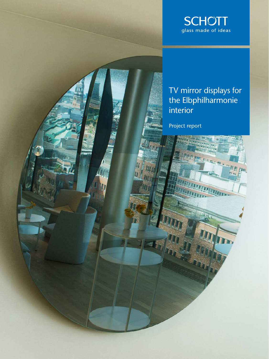

## TV mirror displays for the Elbphilharmonie interior

**THE R. P. LEWIS** 

<u> Kabangga mga mga kalendari ng Kabangga ng Kabangga ng Kabangga ng Kabangga ng Kabangga ng Kabangga ng Kabangga ng Kabangga ng Kabangga ng Kabangga ng Kabangga ng Kabangga ng Kabangga ng Kabangga ng Kabangga ng Kabangga n</u>

 $\frac{\eta}{\eta} \prod_{i \in \mathbb{N}} \prod_{j \in \mathbb{N}} \eta_{ij}$ 

Project report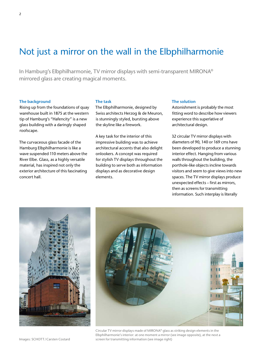# Not just a mirror on the wall in the Elbphilharmonie

In Hamburg's Elbphilharmonie, TV mirror displays with semi-transparent MIRONA® mirrored glass are creating magical moments.

#### **The background**

Rising up from the foundations of quay warehouse built in 1875 at the western tip of Hamburg's "Hafencity" is a new glass building with a daringly shaped roofscape.

The curvaceous glass facade of the Hamburg Elbphilharmonie is like a wave suspended 110 meters above the River Elbe. Glass, as a highly versatile material, has inspired not only the exterior architecture of this fascinating concert hall.

#### **The task**

The Elbphilharmonie, designed by Swiss architects Herzog & de Meuron, is stunningly styled, bursting above the skyline like a firework.

A key task for the interior of this impressive building was to achieve architectural accents that also delight onlookers. A concept was required for stylish TV displays throughout the building to serve both as information displays and as decorative design elements.

## **The solution**

Astonishment is probably the most fitting word to describe how viewers experience this superlative of architectural design.

32 circular TV mirror displays with diameters of 90, 140 or 169 cms have been developed to produce a stunning interior effect. Hanging from various walls throughout the building, the porthole-like objects incline towards visitors and seem to give views into new spaces. The TV mirror displays produce unexpected effects – first as mirrors, then as screens for transmitting information. Such interplay is literally





Circular TV mirror displays made of MIRONA® glass as striking design elements in the Elbphilharmonie's interior: at one moment a mirror (see image opposite), at the next a screen for transmitting information (see image right)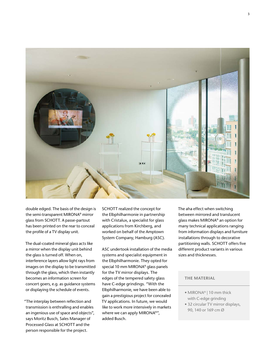

double edged. The basis of the design is the semi-transparent MIRONA® mirror glass from SCHOTT. A passe-partout has been printed on the rear to conceal the profile of a TV display unit.

The dual-coated mineral glass acts like a mirror when the display unit behind the glass is turned off. When on, interference layers allow light rays from images on the display to be transmitted through the glass, which then instantly becomes an information screen for concert goers, e.g. as guidance systems or displaying the schedule of events.

"The interplay between reflection and transmission is enthralling and enables an ingenious use of space and objects", says Moritz Busch, Sales Manager of Processed Glass at SCHOTT and the person responsible for the project.

SCHOTT realized the concept for the Elbphilharmonie in partnership with Cristalux, a specialist for glass applications from Kirchberg, and worked on behalf of the Amptown System Company, Hamburg (ASC).

ASC undertook installation of the media systems and specialist equipment in the Elbphilharmonie. They opted for special 10 mm MIRONA® glass panels for the TV mirror displays. The edges of the tempered safety glass have C-edge grindings. "With the Elbphilharmonie, we have been able to gain a prestigious project for concealed TV applications. In future, we would like to work more intensively in markets where we can apply MIRONA®", added Busch.

The aha effect when switching between mirrored and translucent glass makes MIRONA® an option for many technical applications ranging from information displays and furniture installations through to decorative partitioning walls. SCHOTT offers five different product variants in various sizes and thicknesses.

## **THE MATERIAL**

- MIRONA® | 10 mm thick with C-edge grinding
- 32 circular TV mirror displays, 90, 140 or 169 cm Ø